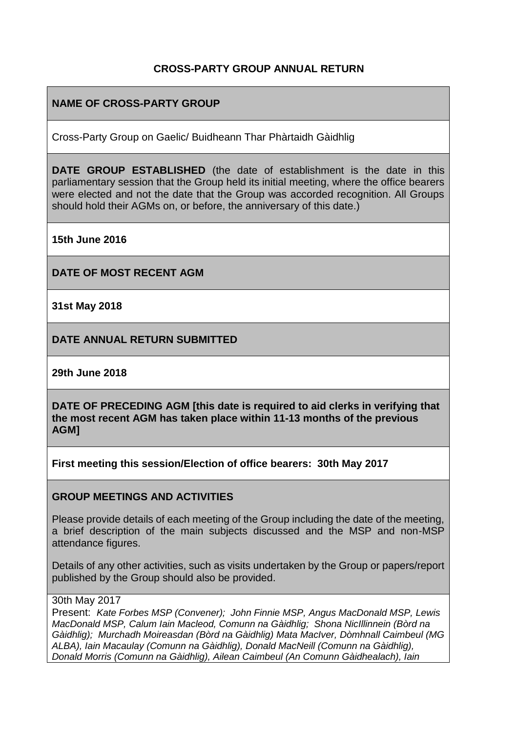### **CROSS-PARTY GROUP ANNUAL RETURN**

# **NAME OF CROSS-PARTY GROUP**

Cross-Party Group on Gaelic/ Buidheann Thar Phàrtaidh Gàidhlig

**DATE GROUP ESTABLISHED** (the date of establishment is the date in this parliamentary session that the Group held its initial meeting, where the office bearers were elected and not the date that the Group was accorded recognition. All Groups should hold their AGMs on, or before, the anniversary of this date.)

**15th June 2016**

**DATE OF MOST RECENT AGM**

**31st May 2018**

**DATE ANNUAL RETURN SUBMITTED**

**29th June 2018**

**DATE OF PRECEDING AGM [this date is required to aid clerks in verifying that the most recent AGM has taken place within 11-13 months of the previous AGM]**

**First meeting this session/Election of office bearers: 30th May 2017**

#### **GROUP MEETINGS AND ACTIVITIES**

Please provide details of each meeting of the Group including the date of the meeting, a brief description of the main subjects discussed and the MSP and non-MSP attendance figures.

Details of any other activities, such as visits undertaken by the Group or papers/report published by the Group should also be provided.

#### 30th May 2017

Present: *Kate Forbes MSP (Convener); John Finnie MSP, Angus MacDonald MSP, Lewis MacDonald MSP, Calum Iain Macleod, Comunn na Gàidhlig; Shona NicIllinnein (Bòrd na Gàidhlig); Murchadh Moireasdan (Bòrd na Gàidhlig) Mata MacIver, Dòmhnall Caimbeul (MG ALBA), Iain Macaulay (Comunn na Gàidhlig), Donald MacNeill (Comunn na Gàidhlig), Donald Morris (Comunn na Gàidhlig), Ailean Caimbeul (An Comunn Gàidhealach), Iain*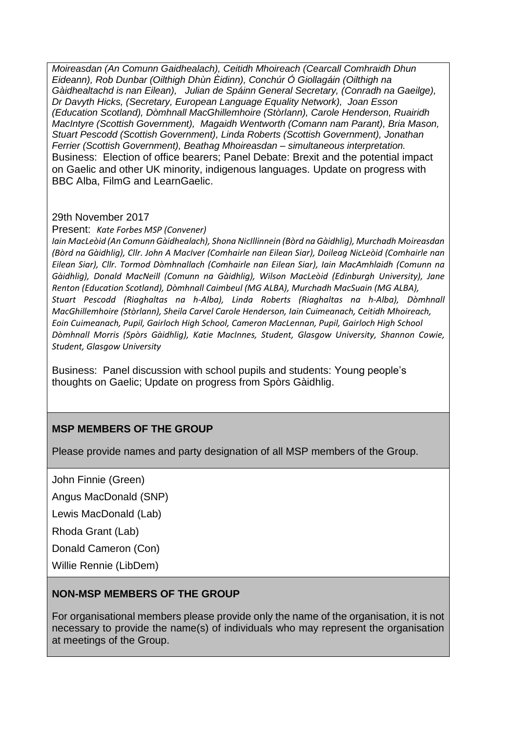*Moireasdan (An Comunn Gaidhealach), Ceitidh Mhoireach (Cearcall Comhraidh Dhun Eideann), Rob Dunbar (Oilthigh Dhùn Èidinn), Conchúr Ó Giollagáin (Oilthigh na Gàidhealtachd is nan Eilean), Julian de Spáinn General Secretary, (Conradh na Gaeilge), Dr Davyth Hicks, (Secretary, European Language Equality Network), Joan Esson (Education Scotland), Dòmhnall MacGhillemhoire (Stòrlann), Carole Henderson, Ruairidh MacIntyre (Scottish Government), Magaidh Wentworth (Comann nam Parant), Bria Mason, Stuart Pescodd (Scottish Government), Linda Roberts (Scottish Government), Jonathan Ferrier (Scottish Government), Beathag Mhoireasdan – simultaneous interpretation.* Business: Election of office bearers; Panel Debate: Brexit and the potential impact on Gaelic and other UK minority, indigenous languages. Update on progress with BBC Alba, FilmG and LearnGaelic.

#### 29th November 2017

Present: *Kate Forbes MSP (Convener)*

*Iain MacLeòid (An Comunn Gàidhealach), Shona NicIllinnein (Bòrd na Gàidhlig), Murchadh Moireasdan (Bòrd na Gàidhlig), Cllr. John A MacIver (Comhairle nan Eilean Siar), Doileag NicLeòid (Comhairle nan Eilean Siar), Cllr. Tormod Dòmhnallach (Comhairle nan Eilean Siar), Iain MacAmhlaidh (Comunn na Gàidhlig), Donald MacNeill (Comunn na Gàidhlig), Wilson MacLeòid (Edinburgh University), Jane Renton (Education Scotland), Dòmhnall Caimbeul (MG ALBA), Murchadh MacSuain (MG ALBA), Stuart Pescodd (Riaghaltas na h-Alba), Linda Roberts (Riaghaltas na h-Alba), Dòmhnall MacGhillemhoire (Stòrlann), Sheila Carvel Carole Henderson, Iain Cuimeanach, Ceitidh Mhoireach, Eoin Cuimeanach, Pupil, Gairloch High School, Cameron MacLennan, Pupil, Gairloch High School Dòmhnall Morris (Spòrs Gàidhlig), Katie MacInnes, Student, Glasgow University, Shannon Cowie, Student, Glasgow University*

Business: Panel discussion with school pupils and students: Young people's thoughts on Gaelic; Update on progress from Spòrs Gàidhlig.

### **MSP MEMBERS OF THE GROUP**

Please provide names and party designation of all MSP members of the Group.

John Finnie (Green)

Angus MacDonald (SNP)

Lewis MacDonald (Lab)

Rhoda Grant (Lab)

Donald Cameron (Con)

Willie Rennie (LibDem)

#### **NON-MSP MEMBERS OF THE GROUP**

For organisational members please provide only the name of the organisation, it is not necessary to provide the name(s) of individuals who may represent the organisation at meetings of the Group.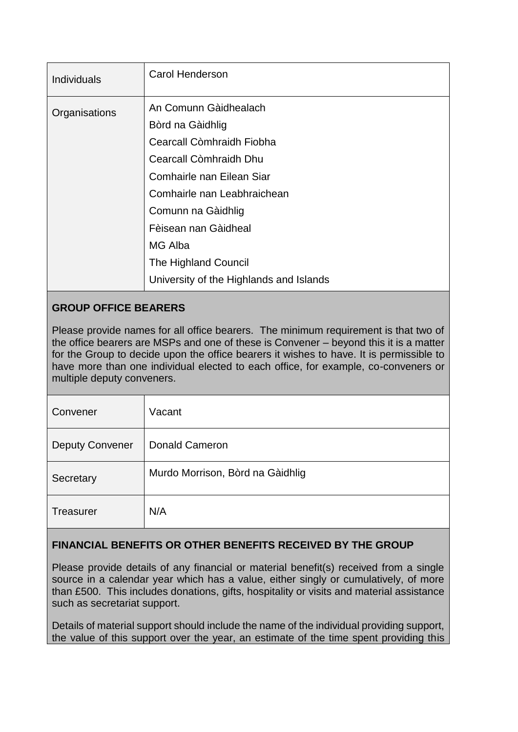| <b>Individuals</b> | <b>Carol Henderson</b>                                                                                                                                                                                                                        |
|--------------------|-----------------------------------------------------------------------------------------------------------------------------------------------------------------------------------------------------------------------------------------------|
| Organisations      | An Comunn Gàidhealach<br>Bòrd na Gàidhlig<br>Cearcall Còmhraidh Fiobha<br>Cearcall Còmhraidh Dhu<br>Comhairle nan Eilean Siar<br>Comhairle nan Leabhraichean<br>Comunn na Gàidhlig<br>Fèisean nan Gàidheal<br>MG Alba<br>The Highland Council |
|                    | University of the Highlands and Islands                                                                                                                                                                                                       |

# **GROUP OFFICE BEARERS**

Please provide names for all office bearers. The minimum requirement is that two of the office bearers are MSPs and one of these is Convener – beyond this it is a matter for the Group to decide upon the office bearers it wishes to have. It is permissible to have more than one individual elected to each office, for example, co-conveners or multiple deputy conveners.

| Convener               | Vacant                           |
|------------------------|----------------------------------|
| <b>Deputy Convener</b> | <b>Donald Cameron</b>            |
| Secretary              | Murdo Morrison, Bòrd na Gàidhlig |
| <b>Treasurer</b>       | N/A                              |

# **FINANCIAL BENEFITS OR OTHER BENEFITS RECEIVED BY THE GROUP**

Please provide details of any financial or material benefit(s) received from a single source in a calendar year which has a value, either singly or cumulatively, of more than £500. This includes donations, gifts, hospitality or visits and material assistance such as secretariat support.

Details of material support should include the name of the individual providing support, the value of this support over the year, an estimate of the time spent providing this